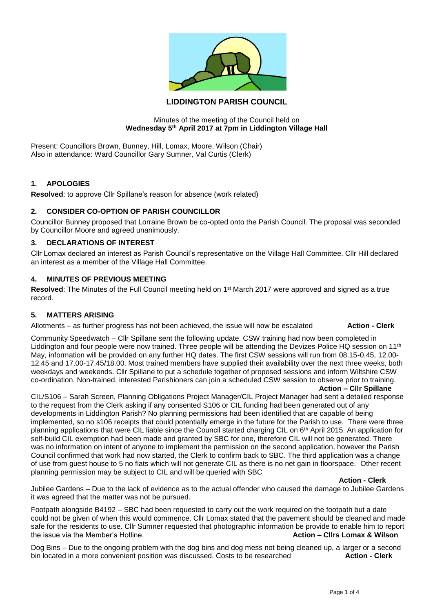

# **LIDDINGTON PARISH COUNCIL**

#### Minutes of the meeting of the Council held on **Wednesday 5th April 2017 at 7pm in Liddington Village Hall**

Present: Councillors Brown, Bunney, Hill, Lomax, Moore, Wilson (Chair) Also in attendance: Ward Councillor Gary Sumner, Val Curtis (Clerk)

### **1. APOLOGIES**

**Resolved**: to approve Cllr Spillane's reason for absence (work related)

### **2. CONSIDER CO-OPTION OF PARISH COUNCILLOR**

Councillor Bunney proposed that Lorraine Brown be co-opted onto the Parish Council. The proposal was seconded by Councillor Moore and agreed unanimously.

## **3. DECLARATIONS OF INTEREST**

Cllr Lomax declared an interest as Parish Council's representative on the Village Hall Committee. Cllr Hill declared an interest as a member of the Village Hall Committee.

#### **4. MINUTES OF PREVIOUS MEETING**

Resolved: The Minutes of the Full Council meeting held on 1<sup>st</sup> March 2017 were approved and signed as a true record.

#### **5. MATTERS ARISING**

Allotments – as further progress has not been achieved, the issue will now be escalated **Action - Clerk**

Community Speedwatch – Cllr Spillane sent the following update. CSW training had now been completed in Liddington and four people were now trained. Three people will be attending the Devizes Police HQ session on 11<sup>th</sup> May, information will be provided on any further HQ dates. The first CSW sessions will run from 08.15-0.45, 12.00- 12.45 and 17.00-17.45/18.00. Most trained members have supplied their availability over the next three weeks, both weekdays and weekends. Cllr Spillane to put a schedule together of proposed sessions and inform Wiltshire CSW co-ordination. Non-trained, interested Parishioners can join a scheduled CSW session to observe prior to training.

**Action – Cllr Spillane**

CIL/S106 – Sarah Screen, Planning Obligations Project Manager/CIL Project Manager had sent a detailed response to the request from the Clerk asking if any consented S106 or CIL funding had been generated out of any developments in Liddington Parish? No planning permissions had been identified that are capable of being implemented, so no s106 receipts that could potentially emerge in the future for the Parish to use. There were three planning applications that were CIL liable since the Council started charging CIL on  $6<sup>th</sup>$  April 2015. An application for self-build CIL exemption had been made and granted by SBC for one, therefore CIL will not be generated. There was no information on intent of anyone to implement the permission on the second application, however the Parish Council confirmed that work had now started, the Clerk to confirm back to SBC. The third application was a change of use from guest house to 5 no flats which will not generate CIL as there is no net gain in floorspace. Other recent planning permission may be subject to CIL and will be queried with SBC

#### **Action - Clerk**

Jubilee Gardens – Due to the lack of evidence as to the actual offender who caused the damage to Jubilee Gardens it was agreed that the matter was not be pursued.

Footpath alongside B4192 – SBC had been requested to carry out the work required on the footpath but a date could not be given of when this would commence. Cllr Lomax stated that the pavement should be cleaned and made safe for the residents to use. Cllr Sumner requested that photographic information be provide to enable him to report the issue via the Member's Hotline. **Action – Cllrs Lomax & Wilson**

Dog Bins – Due to the ongoing problem with the dog bins and dog mess not being cleaned up, a larger or a second<br>hin located in a more convenient position was discussed. Costs to be researched **Action - Clerk** bin located in a more convenient position was discussed. Costs to be researched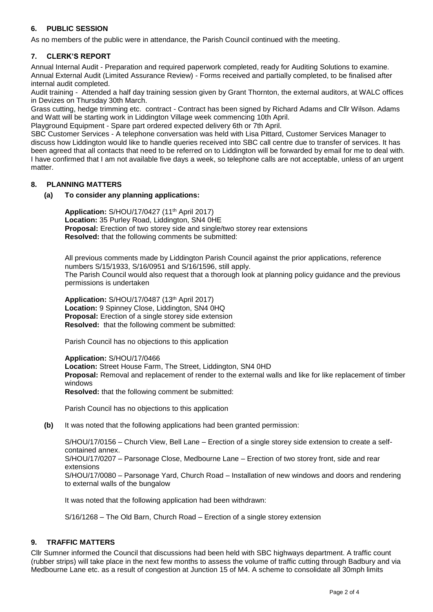# **6. PUBLIC SESSION**

As no members of the public were in attendance, the Parish Council continued with the meeting.

# **7. CLERK'S REPORT**

Annual Internal Audit - Preparation and required paperwork completed, ready for Auditing Solutions to examine. Annual External Audit (Limited Assurance Review) - Forms received and partially completed, to be finalised after internal audit completed.

Audit training - Attended a half day training session given by Grant Thornton, the external auditors, at WALC offices in Devizes on Thursday 30th March.

Grass cutting, hedge trimming etc. contract - Contract has been signed by Richard Adams and Cllr Wilson. Adams and Watt will be starting work in Liddington Village week commencing 10th April.

Playground Equipment - Spare part ordered expected delivery 6th or 7th April.

SBC Customer Services - A telephone conversation was held with Lisa Pittard, Customer Services Manager to discuss how Liddington would like to handle queries received into SBC call centre due to transfer of services. It has been agreed that all contacts that need to be referred on to Liddington will be forwarded by email for me to deal with. I have confirmed that I am not available five days a week, so telephone calls are not acceptable, unless of an urgent matter.

## **8. PLANNING MATTERS**

### **(a) To consider any planning applications:**

**Application:** S/HOU/17/0427 (11th April 2017) **Location:** 35 Purley Road, Liddington, SN4 0HE **Proposal:** Erection of two storey side and single/two storey rear extensions **Resolved:** that the following comments be submitted:

All previous comments made by Liddington Parish Council against the prior applications, reference numbers S/15/1933, S/16/0951 and S/16/1596, still apply. The Parish Council would also request that a thorough look at planning policy guidance and the previous permissions is undertaken

**Application:** S/HOU/17/0487 (13th April 2017) **Location:** 9 Spinney Close, Liddington, SN4 0HQ **Proposal:** Erection of a single storey side extension **Resolved:** that the following comment be submitted:

Parish Council has no objections to this application

**Application:** S/HOU/17/0466 **Location:** Street House Farm, The Street, Liddington, SN4 0HD **Proposal:** Removal and replacement of render to the external walls and like for like replacement of timber windows **Resolved:** that the following comment be submitted:

Parish Council has no objections to this application

**(b)** It was noted that the following applications had been granted permission:

S/HOU/17/0156 – Church View, Bell Lane – Erection of a single storey side extension to create a selfcontained annex. S/HOU/17/0207 – Parsonage Close, Medbourne Lane – Erection of two storey front, side and rear extensions S/HOU/17/0080 – Parsonage Yard, Church Road – Installation of new windows and doors and rendering to external walls of the bungalow

It was noted that the following application had been withdrawn:

S/16/1268 – The Old Barn, Church Road – Erection of a single storey extension

## **9. TRAFFIC MATTERS**

Cllr Sumner informed the Council that discussions had been held with SBC highways department. A traffic count (rubber strips) will take place in the next few months to assess the volume of traffic cutting through Badbury and via Medbourne Lane etc. as a result of congestion at Junction 15 of M4. A scheme to consolidate all 30mph limits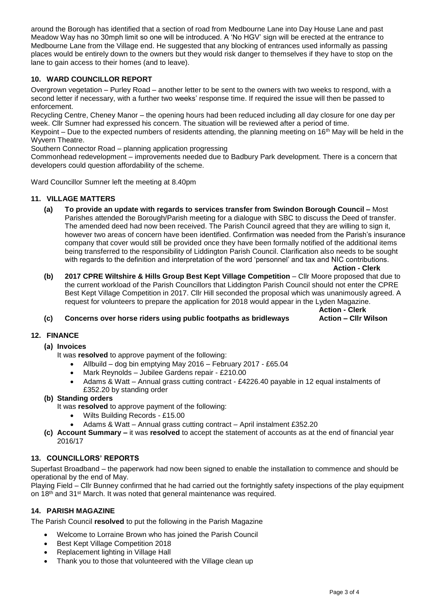around the Borough has identified that a section of road from Medbourne Lane into Day House Lane and past Meadow Way has no 30mph limit so one will be introduced. A 'No HGV' sign will be erected at the entrance to Medbourne Lane from the Village end. He suggested that any blocking of entrances used informally as passing places would be entirely down to the owners but they would risk danger to themselves if they have to stop on the lane to gain access to their homes (and to leave).

# **10. WARD COUNCILLOR REPORT**

Overgrown vegetation – Purley Road – another letter to be sent to the owners with two weeks to respond, with a second letter if necessary, with a further two weeks' response time. If required the issue will then be passed to enforcement.

Recycling Centre, Cheney Manor – the opening hours had been reduced including all day closure for one day per week. Cllr Sumner had expressed his concern. The situation will be reviewed after a period of time.

Keypoint – Due to the expected numbers of residents attending, the planning meeting on  $16<sup>th</sup>$  May will be held in the Wyvern Theatre.

Southern Connector Road – planning application progressing

Commonhead redevelopment – improvements needed due to Badbury Park development. There is a concern that developers could question affordability of the scheme.

Ward Councillor Sumner left the meeting at 8.40pm

### **11. VILLAGE MATTERS**

**(a) To provide an update with regards to services transfer from Swindon Borough Council –** Most Parishes attended the Borough/Parish meeting for a dialogue with SBC to discuss the Deed of transfer. The amended deed had now been received. The Parish Council agreed that they are willing to sign it, however two areas of concern have been identified. Confirmation was needed from the Parish's insurance company that cover would still be provided once they have been formally notified of the additional items being transferred to the responsibility of Liddington Parish Council. Clarification also needs to be sought with regards to the definition and interpretation of the word 'personnel' and tax and NIC contributions.

 **Action - Clerk**

**(b) 2017 CPRE Wiltshire & Hills Group Best Kept Village Competition** – Cllr Moore proposed that due to the current workload of the Parish Councillors that Liddington Parish Council should not enter the CPRE Best Kept Village Competition in 2017. Cllr Hill seconded the proposal which was unanimously agreed. A request for volunteers to prepare the application for 2018 would appear in the Lyden Magazine.

**Action - Clerk**

## **(c) Concerns over horse riders using public footpaths as bridleways Action – Cllr Wilson**

#### **12. FINANCE**

### **(a) Invoices**

- It was **resolved** to approve payment of the following:
	- Allbuild dog bin emptying May 2016 February 2017 £65.04
	- Mark Reynolds Jubilee Gardens repair £210.00
	- Adams & Watt Annual grass cutting contract £4226.40 payable in 12 equal instalments of £352.20 by standing order

### **(b) Standing orders**

It was **resolved** to approve payment of the following:

- Wilts Building Records £15.00
- Adams & Watt Annual grass cutting contract April instalment £352.20
- **(c) Account Summary –** it was **resolved** to accept the statement of accounts as at the end of financial year 2016/17

## **13. COUNCILLORS' REPORTS**

Superfast Broadband – the paperwork had now been signed to enable the installation to commence and should be operational by the end of May.

Playing Field – Cllr Bunney confirmed that he had carried out the fortnightly safety inspections of the play equipment on 18<sup>th</sup> and 31<sup>st</sup> March. It was noted that general maintenance was required.

## **14. PARISH MAGAZINE**

The Parish Council **resolved** to put the following in the Parish Magazine

- Welcome to Lorraine Brown who has joined the Parish Council
- Best Kept Village Competition 2018
- Replacement lighting in Village Hall
- Thank you to those that volunteered with the Village clean up